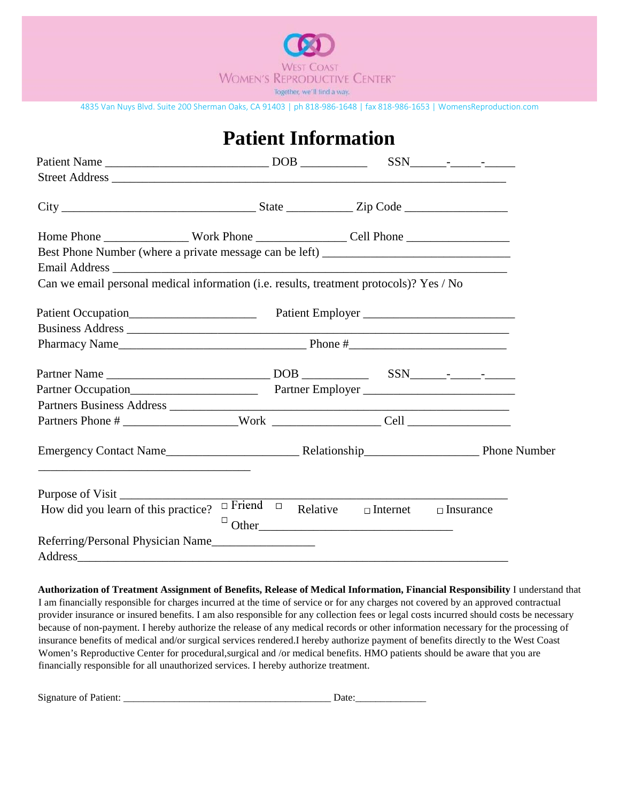

|                                                                                         | <b>Patient Information</b> |                                                                |  |
|-----------------------------------------------------------------------------------------|----------------------------|----------------------------------------------------------------|--|
|                                                                                         |                            |                                                                |  |
|                                                                                         |                            |                                                                |  |
|                                                                                         |                            |                                                                |  |
|                                                                                         |                            |                                                                |  |
| Best Phone Number (where a private message can be left) _________________________       |                            |                                                                |  |
|                                                                                         |                            |                                                                |  |
| Can we email personal medical information (i.e. results, treatment protocols)? Yes / No |                            |                                                                |  |
|                                                                                         |                            |                                                                |  |
|                                                                                         |                            |                                                                |  |
|                                                                                         |                            |                                                                |  |
| Pharmacy Name                                                                           |                            |                                                                |  |
|                                                                                         |                            |                                                                |  |
|                                                                                         |                            |                                                                |  |
|                                                                                         |                            |                                                                |  |
|                                                                                         |                            |                                                                |  |
|                                                                                         |                            |                                                                |  |
|                                                                                         |                            |                                                                |  |
| Purpose of Visit                                                                        |                            |                                                                |  |
| How did you learn of this practice?                                                     |                            | $\Box$ Friend $\Box$ Relative $\Box$ Internet $\Box$ Insurance |  |
|                                                                                         |                            | $\Box$ Other                                                   |  |
| Referring/Personal Physician Name                                                       |                            |                                                                |  |
| Address                                                                                 |                            |                                                                |  |

**Authorization of Treatment Assignment of Benefits, Release of Medical Information, Financial Responsibility** I understand that I am financially responsible for charges incurred at the time of service or for any charges not covered by an approved contractual provider insurance or insured benefits. I am also responsible for any collection fees or legal costs incurred should costs be necessary because of non-payment. I hereby authorize the release of any medical records or other information necessary for the processing of insurance benefits of medical and/or surgical services rendered.I hereby authorize payment of benefits directly to the West Coast Women's Reproductive Center for procedural,surgical and /or medical benefits. HMO patients should be aware that you are financially responsible for all unauthorized services. I hereby authorize treatment.

| Signature of<br>itiont.<br>-auent. |  |  |
|------------------------------------|--|--|
|                                    |  |  |
|                                    |  |  |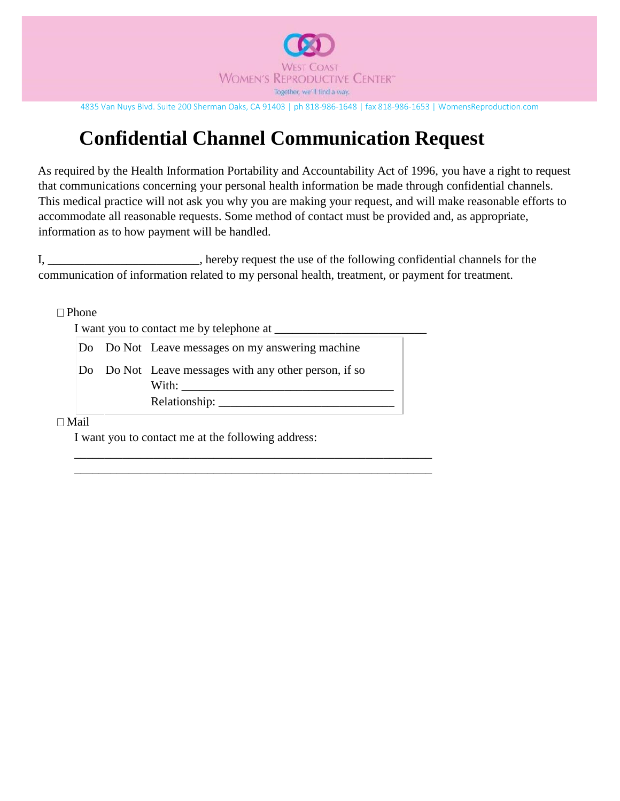

# **Confidential Channel Communication Request**

As required by the Health Information Portability and Accountability Act of 1996, you have a right to request that communications concerning your personal health information be made through confidential channels. This medical practice will not ask you why you are making your request, and will make reasonable efforts to accommodate all reasonable requests. Some method of contact must be provided and, as appropriate, information as to how payment will be handled.

I, \_\_\_\_\_\_\_\_\_\_\_\_\_\_\_\_\_\_\_\_\_\_\_\_, hereby request the use of the following confidential channels for the communication of information related to my personal health, treatment, or payment for treatment.

\_\_\_\_\_\_\_\_\_\_\_\_\_\_\_\_\_\_\_\_\_\_\_\_\_\_\_\_\_\_\_\_\_\_\_\_\_\_\_\_\_\_\_\_\_\_\_\_\_\_\_\_\_\_\_\_\_\_\_

\_\_\_\_\_\_\_\_\_\_\_\_\_\_\_\_\_\_\_\_\_\_\_\_\_\_\_\_\_\_\_\_\_\_\_\_\_\_\_\_\_\_\_\_\_\_\_\_\_\_\_\_\_\_\_\_\_\_\_

 $\Box$  Phone

I want you to contact me by telephone at \_\_\_\_\_\_\_\_\_\_\_\_\_\_\_\_\_\_\_\_\_\_\_\_\_

|  | Do Do Not Leave messages on my answering machine      |  |
|--|-------------------------------------------------------|--|
|  | Do Do Not Leave messages with any other person, if so |  |
|  | With:                                                 |  |
|  | Relationship:                                         |  |

 $\Box$ Mail

I want you to contact me at the following address: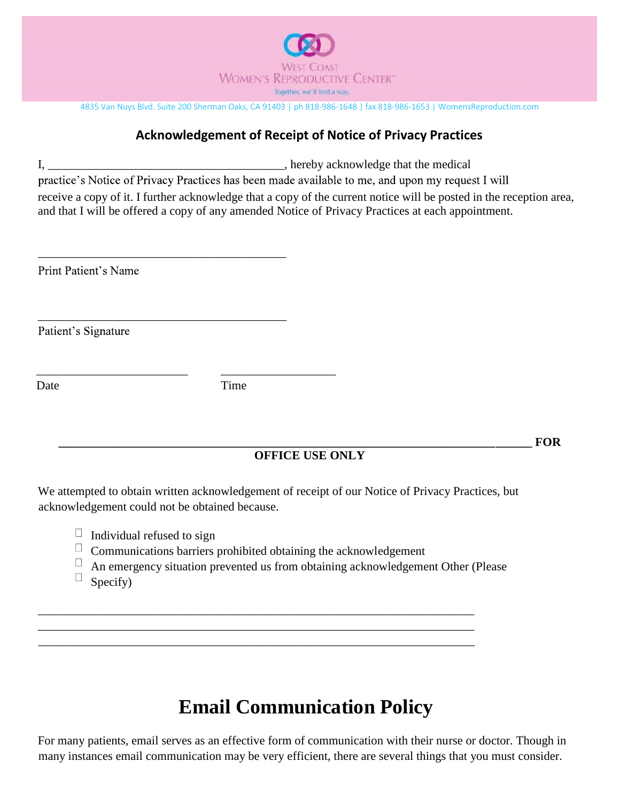

## **Acknowledgement of Receipt of Notice of Privacy Practices**

I, \_\_\_\_\_\_\_\_\_\_\_\_\_\_\_\_\_\_\_\_\_\_\_\_\_\_\_\_\_\_\_\_\_\_\_\_\_\_\_, hereby acknowledge that the medical

practice's Notice of Privacy Practices has been made available to me, and upon my request I will

receive a copy of it. I further acknowledge that a copy of the current notice will be posted in the reception area, and that I will be offered a copy of any amended Notice of Privacy Practices at each appointment.

Print Patient's Name

Patient's Signature

Date Time

\_\_\_\_\_\_\_\_\_\_\_\_\_\_\_\_\_\_\_\_\_\_\_\_\_ \_\_\_\_\_\_\_\_\_\_\_\_\_\_\_\_\_\_\_

\_\_\_\_\_\_\_\_\_\_\_\_\_\_\_\_\_\_\_\_\_\_\_\_\_\_\_\_\_\_\_\_\_\_\_\_\_\_\_\_\_

\_\_\_\_\_\_\_\_\_\_\_\_\_\_\_\_\_\_\_\_\_\_\_\_\_\_\_\_\_\_\_\_\_\_\_\_\_\_\_\_\_

**\_\_\_\_\_\_\_\_\_\_\_\_\_\_\_\_\_\_\_\_\_\_\_\_\_\_\_\_\_\_\_\_\_\_\_\_\_\_\_\_\_\_\_\_\_\_\_\_\_\_\_\_\_\_\_\_\_\_\_\_\_\_\_\_\_\_\_\_\_\_\_\_\_\_\_\_\_\_ FOR**

### **OFFICE USE ONLY**

We attempted to obtain written acknowledgement of receipt of our Notice of Privacy Practices, but acknowledgement could not be obtained because.

- $\Box$  Individual refused to sign
- $\Box$ Communications barriers prohibited obtaining the acknowledgement
- $\Box$ An emergency situation prevented us from obtaining acknowledgement Other (Please

\_\_\_\_\_\_\_\_\_\_\_\_\_\_\_\_\_\_\_\_\_\_\_\_\_\_\_\_\_\_\_\_\_\_\_\_\_\_\_\_\_\_\_\_\_\_\_\_\_\_\_\_\_\_\_\_\_\_\_\_\_\_\_\_\_\_\_\_\_\_\_\_ \_\_\_\_\_\_\_\_\_\_\_\_\_\_\_\_\_\_\_\_\_\_\_\_\_\_\_\_\_\_\_\_\_\_\_\_\_\_\_\_\_\_\_\_\_\_\_\_\_\_\_\_\_\_\_\_\_\_\_\_\_\_\_\_\_\_\_\_\_\_\_\_ \_\_\_\_\_\_\_\_\_\_\_\_\_\_\_\_\_\_\_\_\_\_\_\_\_\_\_\_\_\_\_\_\_\_\_\_\_\_\_\_\_\_\_\_\_\_\_\_\_\_\_\_\_\_\_\_\_\_\_\_\_\_\_\_\_\_\_\_\_\_\_\_

 $\Box$ Specify)

# **Email Communication Policy**

For many patients, email serves as an effective form of communication with their nurse or doctor. Though in many instances email communication may be very efficient, there are several things that you must consider.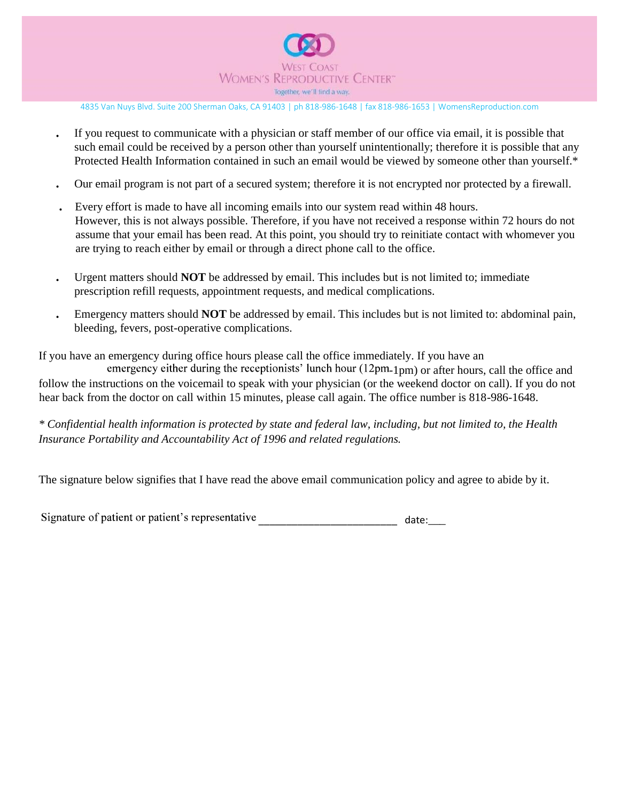

- If you request to communicate with a physician or staff member of our office via email, it is possible that such email could be received by a person other than yourself unintentionally; therefore it is possible that any Protected Health Information contained in such an email would be viewed by someone other than yourself.\*
- Our email program is not part of a secured system; therefore it is not encrypted nor protected by a firewall.
- Every effort is made to have all incoming emails into our system read within 48 hours. However, this is not always possible. Therefore, if you have not received a response within 72 hours do not assume that your email has been read. At this point, you should try to reinitiate contact with whomever you are trying to reach either by email or through a direct phone call to the office.
- Urgent matters should **NOT** be addressed by email. This includes but is not limited to; immediate prescription refill requests, appointment requests, and medical complications.
- Emergency matters should **NOT** be addressed by email. This includes but is not limited to: abdominal pain, bleeding, fevers, post-operative complications.

If you have an emergency during office hours please call the office immediately. If you have an

emergency either during the receptionists' lunch hour  $(12pm_{1pm})$  or after hours, call the office and follow the instructions on the voicemail to speak with your physician (or the weekend doctor on call). If you do not hear back from the doctor on call within 15 minutes, please call again. The office number is 818-986-1648.

*\* Confidential health information is protected by state and federal law, including, but not limited to, the Health Insurance Portability and Accountability Act of 1996 and related regulations.*

The signature below signifies that I have read the above email communication policy and agree to abide by it.

Signature of patient or patient's representative \_\_\_\_\_\_\_\_\_\_\_\_\_\_\_\_\_\_\_\_\_\_\_\_\_\_\_\_\_\_\_ date:\_\_\_\_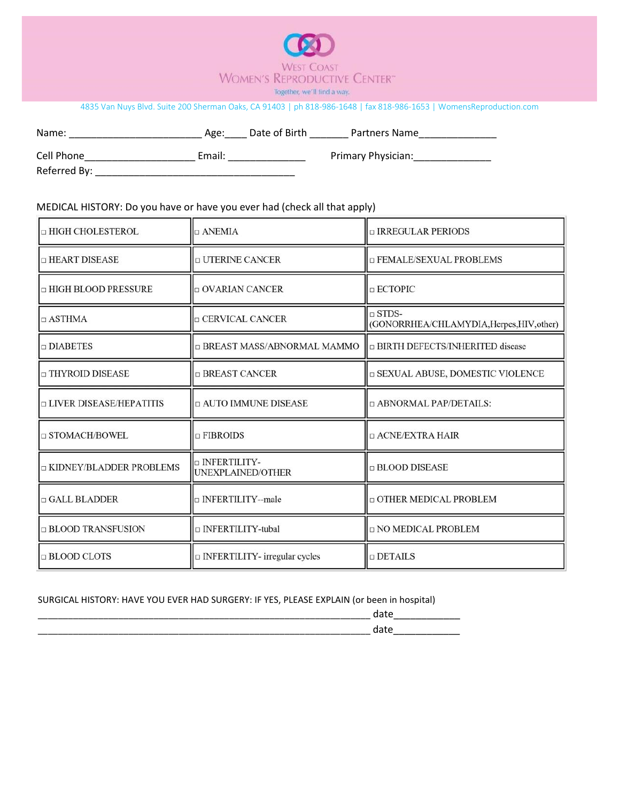

| Name:      | Age:   | Date of Birth | Partners Name      |
|------------|--------|---------------|--------------------|
| Cell Phone | Email: |               | Primary Physician: |

Referred By: \_\_\_\_\_\_\_\_\_\_\_\_\_\_\_\_\_\_\_\_\_\_\_\_\_\_\_\_\_\_\_\_\_\_\_\_

#### MEDICAL HISTORY: Do you have or have you ever had (check all that apply)

| □ HIGH CHOLESTEROL        | $\Box$ ANEMIA                             | □ IRREGULAR PERIODS                                       |
|---------------------------|-------------------------------------------|-----------------------------------------------------------|
| $\Box$ HEART DISEASE      | <b>D UTERINE CANCER</b>                   | □ FEMALE/SEXUAL PROBLEMS                                  |
| □ HIGH BLOOD PRESSURE     | $\Box$ OVARIAN CANCER                     | $\Box$ ECTOPIC                                            |
| $\Box$ ASTHMA             | <b>D CERVICAL CANCER</b>                  | $\Box$ STDS-<br>(GONORRHEA/CHLAMYDIA, Herpes, HIV, other) |
| $\Box$ DIABETES           | □ BREAST MASS/ABNORMAL MAMMO              | □ BIRTH DEFECTS/INHERITED disease                         |
| □ THYROID DISEASE         | □ BREAST CANCER                           | □ SEXUAL ABUSE, DOMESTIC VIOLENCE                         |
| □ LIVER DISEASE/HEPATITIS | $\Box$ AUTO IMMUNE DISEASE                | □ ABNORMAL PAP/DETAILS:                                   |
| □ STOMACH/BOWEL           | $\Box$ FIBROIDS                           | □ ACNE/EXTRA HAIR                                         |
| □ KIDNEY/BLADDER PROBLEMS | <b>DINFERTILITY-</b><br>UNEXPLAINED/OTHER | $\Box$ BLOOD DISEASE                                      |
| $\Box$ GALL BLADDER       | □ INFERTILITY--male                       | <b>DOTHER MEDICAL PROBLEM</b>                             |
| □ BLOOD TRANSFUSION       | □ INFERTILITY-tubal                       | <b>D NO MEDICAL PROBLEM</b>                               |
| $\Box$ BLOOD CLOTS        | $\Box$ INFERTILITY- irregular cycles      | $\Box$ DETAILS                                            |

#### SURGICAL HISTORY: HAVE YOU EVER HAD SURGERY: IF YES, PLEASE EXPLAIN (or been in hospital)

| ____________<br>________ |                          |
|--------------------------|--------------------------|
|                          | ____<br>________<br>____ |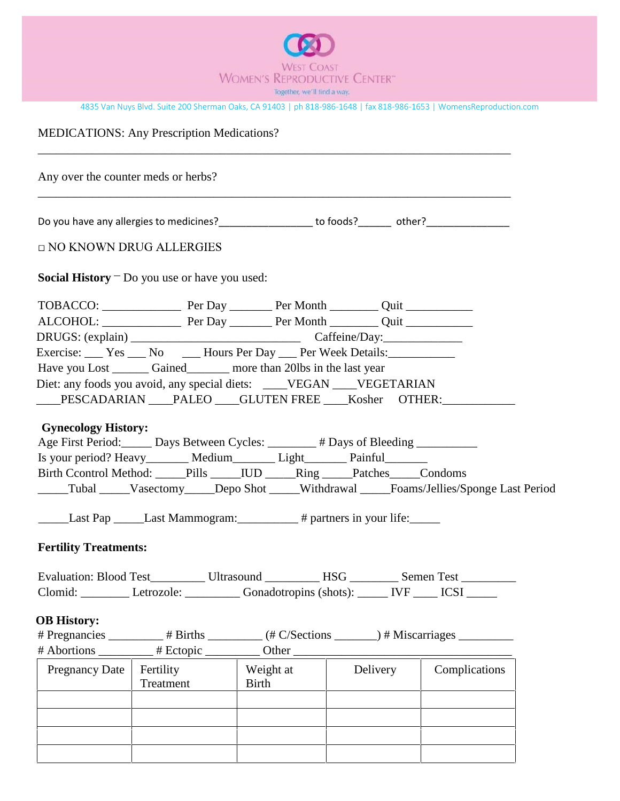

MEDICATIONS: Any Prescription Medications?

\_\_\_\_\_\_\_\_\_\_\_\_\_\_\_\_\_\_\_\_\_\_\_\_\_\_\_\_\_\_\_\_\_\_\_\_\_\_\_\_\_\_\_\_\_\_\_\_\_\_\_\_\_\_\_\_\_\_\_\_\_\_\_\_\_\_\_\_\_\_\_\_\_\_\_\_\_\_ Any over the counter meds or herbs? \_\_\_\_\_\_\_\_\_\_\_\_\_\_\_\_\_\_\_\_\_\_\_\_\_\_\_\_\_\_\_\_\_\_\_\_\_\_\_\_\_\_\_\_\_\_\_\_\_\_\_\_\_\_\_\_\_\_\_\_\_\_\_\_\_\_\_\_\_\_\_\_\_\_\_\_\_\_ Do you have any allergies to medicines?\_\_\_\_\_\_\_\_\_\_\_\_\_\_\_\_\_ to foods?\_\_\_\_\_\_ other?\_\_\_\_\_\_\_\_\_\_\_\_\_\_\_ □ NO KNOWN DRUG ALLERGIES **Social History** Do you use or have you used: TOBACCO: \_\_\_\_\_\_\_\_\_\_\_\_\_ Per Day \_\_\_\_\_\_\_ Per Month \_\_\_\_\_\_\_\_ Quit \_\_\_\_\_\_\_\_\_\_\_ ALCOHOL: \_\_\_\_\_\_\_\_\_\_\_\_\_ Per Day \_\_\_\_\_\_\_ Per Month \_\_\_\_\_\_\_\_ Quit \_\_\_\_\_\_\_\_\_\_\_ DRUGS: (explain) \_\_\_\_\_\_\_\_\_\_\_\_\_\_\_\_\_\_\_\_\_\_\_\_\_\_\_\_ Caffeine/Day:\_\_\_\_\_\_\_\_\_\_\_\_\_ Exercise: <u>Sexercise:</u> Yes <u>No Let</u> Hours Per Day Per Week Details: Have you Lost \_\_\_\_\_\_\_\_ Gained\_\_\_\_\_\_\_\_\_ more than 20lbs in the last year Diet: any foods you avoid, any special diets: \_\_\_\_VEGAN \_\_\_VEGETARIAN \_\_\_\_PESCADARIAN \_\_\_\_PALEO \_\_\_\_GLUTEN FREE \_\_\_\_Kosher OTHER: \_\_\_\_\_\_\_\_\_\_\_\_\_\_\_\_\_\_\_\_ **Gynecology History:** Age First Period: Days Between Cycles: \_\_\_\_\_\_\_ # Days of Bleeding \_\_\_\_\_\_\_\_\_ Is your period? Heavy\_\_\_\_\_\_\_\_ Medium\_\_\_\_\_\_\_\_ Light\_\_\_\_\_\_\_\_ Painful\_\_\_\_\_\_\_\_ Birth Ccontrol Method: \_\_\_\_\_Pills \_\_\_\_\_IUD \_\_\_\_\_Ring \_\_\_\_\_Patches\_\_\_\_\_Condoms \_\_\_\_\_Tubal \_\_\_\_\_Vasectomy\_\_\_\_\_Depo Shot \_\_\_\_\_Withdrawal \_\_\_\_\_Foams/Jellies/Sponge Last Period Last Pap \_\_\_\_\_\_Last Mammogram: # partners in your life: **Fertility Treatments:** Evaluation: Blood Test\_\_\_\_\_\_\_\_\_ Ultrasound \_\_\_\_\_\_\_\_\_ HSG \_\_\_\_\_\_\_\_ Semen Test \_\_\_\_\_\_\_\_ Clomid: Letrozole: \_\_\_\_\_\_\_\_ Gonadotropins (shots): \_\_\_\_\_ IVF \_\_\_\_ ICSI \_\_\_\_\_ **OB History:** # Pregnancies \_\_\_\_\_\_\_\_\_ # Births \_\_\_\_\_\_\_\_\_ (# C/Sections \_\_\_\_\_\_\_) # Miscarriages \_\_\_\_\_\_\_\_\_ # Abortions \_\_\_\_\_\_\_\_\_ # Ectopic \_\_\_\_\_\_\_\_\_ Other \_\_\_\_\_\_\_\_\_\_\_\_\_\_\_\_\_\_\_\_\_\_\_\_\_\_\_\_\_\_\_\_\_\_\_\_ Weight at Pregnancy Date Fertility Delivery Complications Treatment Birth